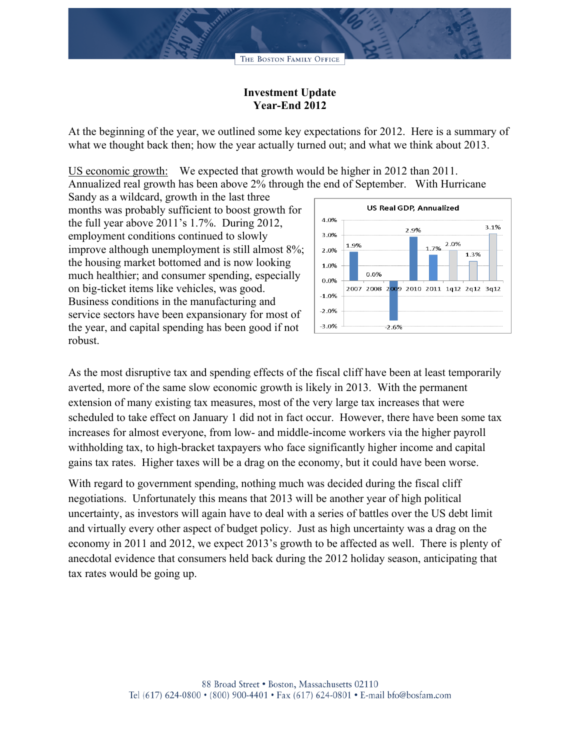## **Investment Update Year-End 2012**

At the beginning of the year, we outlined some key expectations for 2012. Here is a summary of what we thought back then; how the year actually turned out; and what we think about 2013.

US economic growth: We expected that growth would be higher in 2012 than 2011. Annualized real growth has been above 2% through the end of September. With Hurricane

Sandy as a wildcard, growth in the last three months was probably sufficient to boost growth for the full year above 2011's 1.7%. During 2012, employment conditions continued to slowly improve although unemployment is still almost 8%; the housing market bottomed and is now looking much healthier; and consumer spending, especially on big-ticket items like vehicles, was good. Business conditions in the manufacturing and service sectors have been expansionary for most of the year, and capital spending has been good if not robust.



As the most disruptive tax and spending effects of the fiscal cliff have been at least temporarily averted, more of the same slow economic growth is likely in 2013. With the permanent extension of many existing tax measures, most of the very large tax increases that were scheduled to take effect on January 1 did not in fact occur. However, there have been some tax increases for almost everyone, from low- and middle-income workers via the higher payroll withholding tax, to high-bracket taxpayers who face significantly higher income and capital gains tax rates. Higher taxes will be a drag on the economy, but it could have been worse.

With regard to government spending, nothing much was decided during the fiscal cliff negotiations. Unfortunately this means that 2013 will be another year of high political uncertainty, as investors will again have to deal with a series of battles over the US debt limit and virtually every other aspect of budget policy. Just as high uncertainty was a drag on the economy in 2011 and 2012, we expect 2013's growth to be affected as well. There is plenty of anecdotal evidence that consumers held back during the 2012 holiday season, anticipating that tax rates would be going up.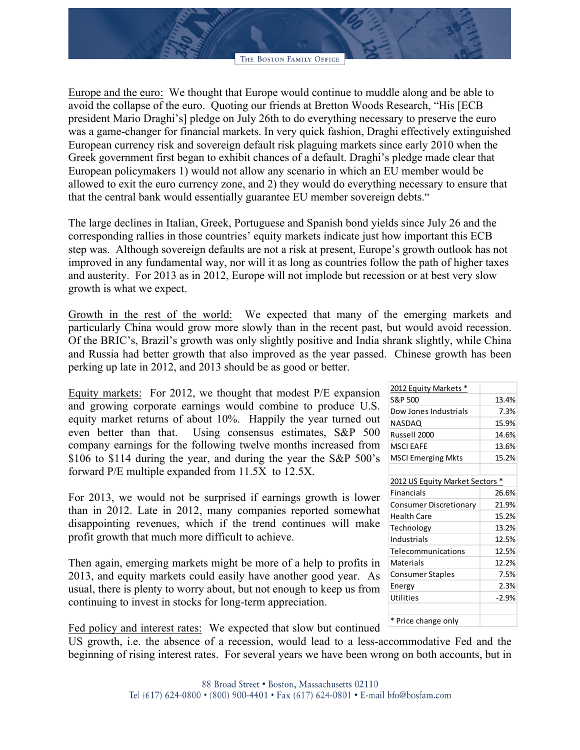Europe and the euro: We thought that Europe would continue to muddle along and be able to avoid the collapse of the euro. Quoting our friends at Bretton Woods Research, "His [ECB president Mario Draghi's] pledge on July 26th to do everything necessary to preserve the euro was a game-changer for financial markets. In very quick fashion, Draghi effectively extinguished European currency risk and sovereign default risk plaguing markets since early 2010 when the Greek government first began to exhibit chances of a default. Draghi's pledge made clear that European policymakers 1) would not allow any scenario in which an EU member would be allowed to exit the euro currency zone, and 2) they would do everything necessary to ensure that that the central bank would essentially guarantee EU member sovereign debts."

The large declines in Italian, Greek, Portuguese and Spanish bond yields since July 26 and the corresponding rallies in those countries' equity markets indicate just how important this ECB step was. Although sovereign defaults are not a risk at present, Europe's growth outlook has not improved in any fundamental way, nor will it as long as countries follow the path of higher taxes and austerity. For 2013 as in 2012, Europe will not implode but recession or at best very slow growth is what we expect.

Growth in the rest of the world: We expected that many of the emerging markets and particularly China would grow more slowly than in the recent past, but would avoid recession. Of the BRIC's, Brazil's growth was only slightly positive and India shrank slightly, while China and Russia had better growth that also improved as the year passed. Chinese growth has been perking up late in 2012, and 2013 should be as good or better.

Equity markets: For 2012, we thought that modest P/E expansion and growing corporate earnings would combine to produce U.S. equity market returns of about 10%. Happily the year turned out even better than that. Using consensus estimates, S&P 500 company earnings for the following twelve months increased from \$106 to \$114 during the year, and during the year the S&P 500's forward P/E multiple expanded from 11.5X to 12.5X.

For 2013, we would not be surprised if earnings growth is lower than in 2012. Late in 2012, many companies reported somewhat disappointing revenues, which if the trend continues will make profit growth that much more difficult to achieve.

Then again, emerging markets might be more of a help to profits in 2013, and equity markets could easily have another good year. As usual, there is plenty to worry about, but not enough to keep us from continuing to invest in stocks for long-term appreciation.

Fed policy and interest rates: We expected that slow but continued

US growth, i.e. the absence of a recession, would lead to a less-accommodative Fed and the beginning of rising interest rates. For several years we have been wrong on both accounts, but in

| $-011 - 1901$ , $11011$         |       |
|---------------------------------|-------|
| S&P 500                         | 13.4% |
| Dow Jones Industrials           | 7.3%  |
| NASDAQ                          | 15.9% |
| Russell 2000                    | 14.6% |
| <b>MSCI EAFE</b>                | 13.6% |
| <b>MSCI Emerging Mkts</b>       | 15.2% |
|                                 |       |
| 2012 US Equity Market Sectors * |       |
| <b>Financials</b>               | 26.6% |
| Consumer Discretionary          | 21.9% |
| <b>Health Care</b>              | 15.2% |
| ببمملمهمات                      | 12.20 |

2012 Faulty Markets \*

| Health Care             | 15.2%   |
|-------------------------|---------|
| Technology              | 13.2%   |
| Industrials             | 12.5%   |
| Telecommunications      | 12.5%   |
| Materials               | 12.2%   |
| <b>Consumer Staples</b> | 7.5%    |
| Energy                  | 2.3%    |
| Utilities               | $-2.9%$ |
|                         |         |
|                         |         |

\* Price change only